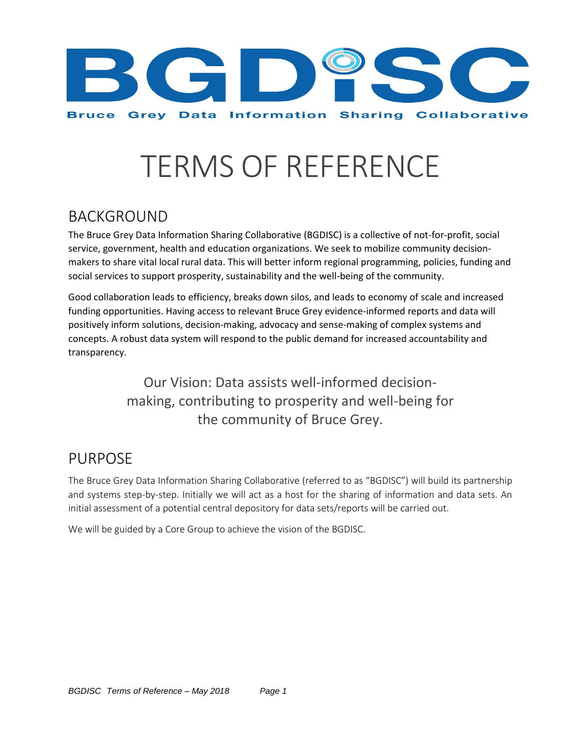

# TERMS OF REFERENCE

# BACKGROUND

The Bruce Grey Data Information Sharing Collaborative (BGDISC) is a collective of not-for-profit, social service, government, health and education organizations. We seek to mobilize community decisionmakers to share vital local rural data. This will better inform regional programming, policies, funding and social services to support prosperity, sustainability and the well-being of the community.

Good collaboration leads to efficiency, breaks down silos, and leads to economy of scale and increased funding opportunities. Having access to relevant Bruce Grey evidence-informed reports and data will positively inform solutions, decision-making, advocacy and sense-making of complex systems and concepts. A robust data system will respond to the public demand for increased accountability and transparency.

> Our Vision: Data assists well-informed decisionmaking, contributing to prosperity and well-being for the community of Bruce Grey.

# PURPOSE

The Bruce Grey Data Information Sharing Collaborative (referred to as "BGDISC") will build its partnership and systems step-by-step. Initially we will act as a host for the sharing of information and data sets. An initial assessment of a potential central depository for data sets/reports will be carried out.

We will be guided by a Core Group to achieve the vision of the BGDISC.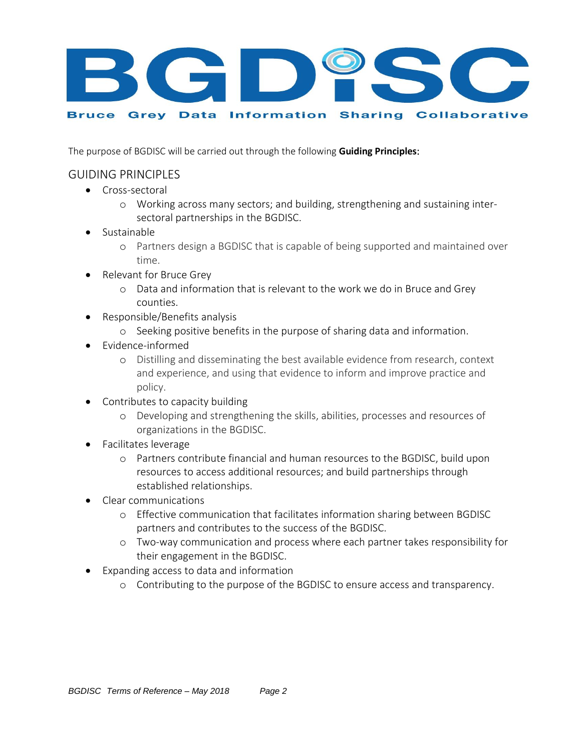

The purpose of BGDISC will be carried out through the following **Guiding Principles**:

### GUIDING PRINCIPLES

- **•** Cross-sectoral
	- o Working across many sectors; and building, strengthening and sustaining intersectoral partnerships in the BGDISC.
- Sustainable
	- o Partners design a BGDISC that is capable of being supported and maintained over time.
- Relevant for Bruce Grey
	- o Data and information that is relevant to the work we do in Bruce and Grey counties.
- Responsible/Benefits analysis
	- o Seeking positive benefits in the purpose of sharing data and information.
- Evidence-informed
	- o Distilling and disseminating the best available evidence from research, context and experience, and using that evidence to inform and improve practice and policy.
- Contributes to capacity building
	- o Developing and strengthening the skills, abilities, processes and resources of organizations in the BGDISC.
- Facilitates leverage
	- o Partners contribute financial and human resources to the BGDISC, build upon resources to access additional resources; and build partnerships through established relationships.
- Clear communications
	- o Effective communication that facilitates information sharing between BGDISC partners and contributes to the success of the BGDISC.
	- o Two-way communication and process where each partner takes responsibility for their engagement in the BGDISC.
- Expanding access to data and information
	- o Contributing to the purpose of the BGDISC to ensure access and transparency.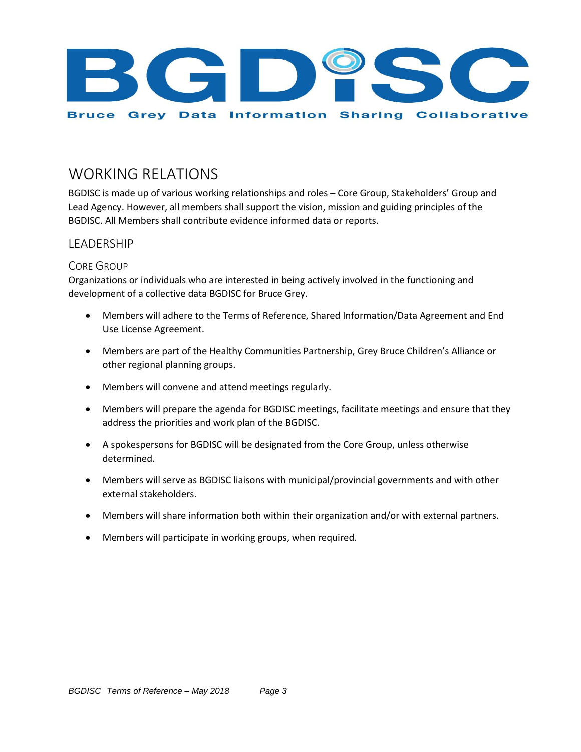

# WORKING RELATIONS

BGDISC is made up of various working relationships and roles – Core Group, Stakeholders' Group and Lead Agency. However, all members shall support the vision, mission and guiding principles of the BGDISC. All Members shall contribute evidence informed data or reports.

### **LEADERSHIP**

### CORE GROUP

Organizations or individuals who are interested in being actively involved in the functioning and development of a collective data BGDISC for Bruce Grey.

- Members will adhere to the Terms of Reference, Shared Information/Data Agreement and End Use License Agreement.
- Members are part of the Healthy Communities Partnership, Grey Bruce Children's Alliance or other regional planning groups.
- Members will convene and attend meetings regularly.
- Members will prepare the agenda for BGDISC meetings, facilitate meetings and ensure that they address the priorities and work plan of the BGDISC.
- A spokespersons for BGDISC will be designated from the Core Group, unless otherwise determined.
- Members will serve as BGDISC liaisons with municipal/provincial governments and with other external stakeholders.
- Members will share information both within their organization and/or with external partners.
- Members will participate in working groups, when required.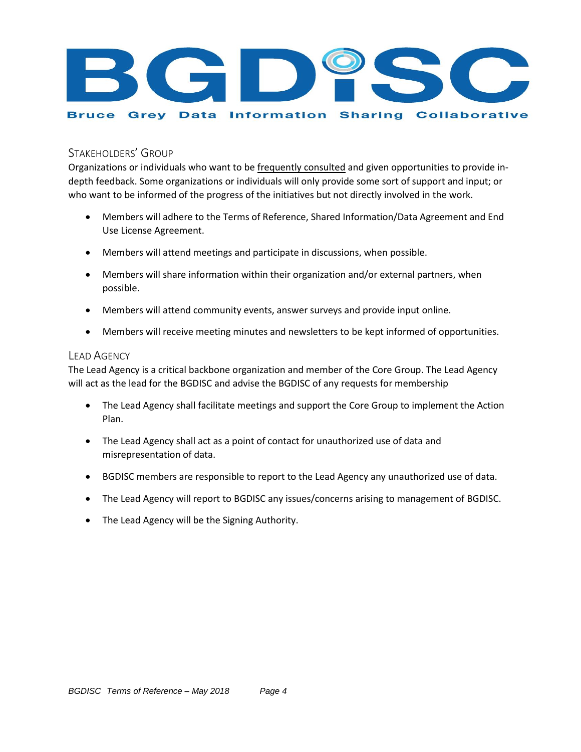

### STAKEHOLDERS' GROUP

Organizations or individuals who want to be frequently consulted and given opportunities to provide indepth feedback. Some organizations or individuals will only provide some sort of support and input; or who want to be informed of the progress of the initiatives but not directly involved in the work.

- Members will adhere to the Terms of Reference, Shared Information/Data Agreement and End Use License Agreement.
- Members will attend meetings and participate in discussions, when possible.
- Members will share information within their organization and/or external partners, when possible.
- Members will attend community events, answer surveys and provide input online.
- Members will receive meeting minutes and newsletters to be kept informed of opportunities.

#### LEAD AGENCY

The Lead Agency is a critical backbone organization and member of the Core Group. The Lead Agency will act as the lead for the BGDISC and advise the BGDISC of any requests for membership

- The Lead Agency shall facilitate meetings and support the Core Group to implement the Action Plan.
- The Lead Agency shall act as a point of contact for unauthorized use of data and misrepresentation of data.
- BGDISC members are responsible to report to the Lead Agency any unauthorized use of data.
- The Lead Agency will report to BGDISC any issues/concerns arising to management of BGDISC.
- The Lead Agency will be the Signing Authority.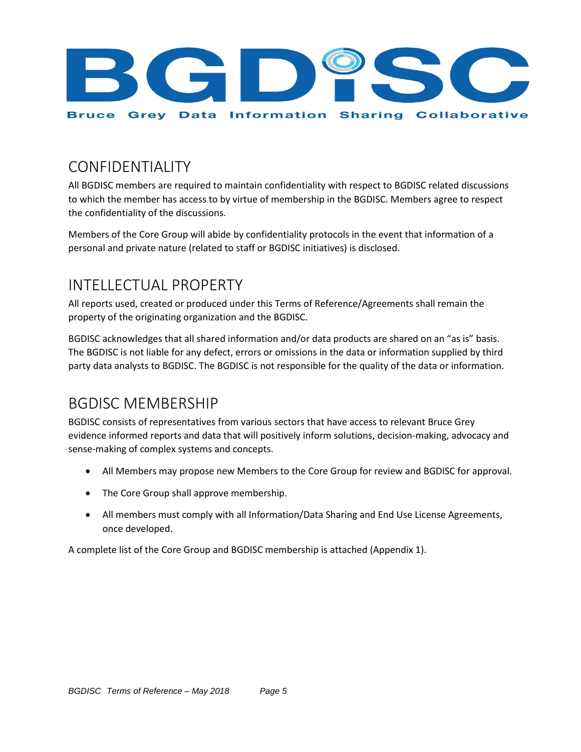

# CONFIDENTIALITY

All BGDISC members are required to maintain confidentiality with respect to BGDISC related discussions to which the member has access to by virtue of membership in the BGDISC. Members agree to respect the confidentiality of the discussions.

Members of the Core Group will abide by confidentiality protocols in the event that information of a personal and private nature (related to staff or BGDISC initiatives) is disclosed.

# INTELLECTUAL PROPERTY

All reports used, created or produced under this Terms of Reference/Agreements shall remain the property of the originating organization and the BGDISC.

BGDISC acknowledges that all shared information and/or data products are shared on an "as is" basis. The BGDISC is not liable for any defect, errors or omissions in the data or information supplied by third party data analysts to BGDISC. The BGDISC is not responsible for the quality of the data or information.

# BGDISC MEMBERSHIP

BGDISC consists of representatives from various sectors that have access to relevant Bruce Grey evidence informed reports and data that will positively inform solutions, decision-making, advocacy and sense-making of complex systems and concepts.

- All Members may propose new Members to the Core Group for review and BGDISC for approval.
- The Core Group shall approve membership.
- All members must comply with all Information/Data Sharing and End Use License Agreements, once developed.

A complete list of the Core Group and BGDISC membership is attached (Appendix 1).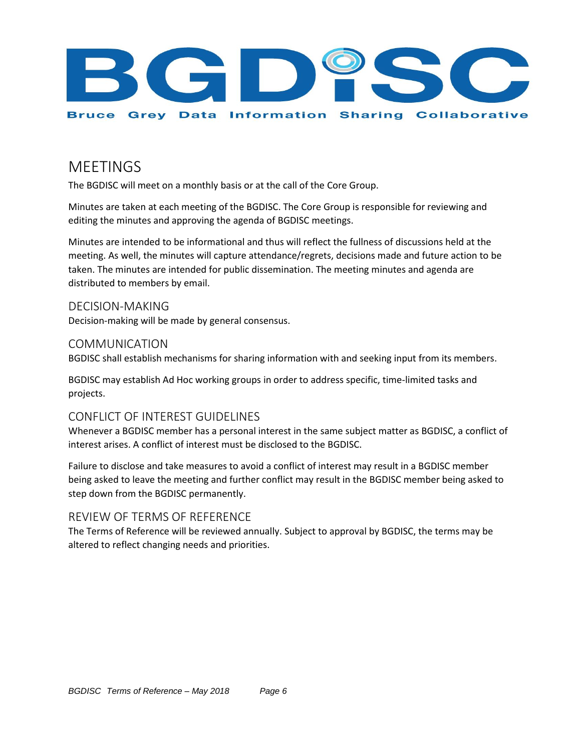

### MEETINGS

The BGDISC will meet on a monthly basis or at the call of the Core Group.

Minutes are taken at each meeting of the BGDISC. The Core Group is responsible for reviewing and editing the minutes and approving the agenda of BGDISC meetings.

Minutes are intended to be informational and thus will reflect the fullness of discussions held at the meeting. As well, the minutes will capture attendance/regrets, decisions made and future action to be taken. The minutes are intended for public dissemination. The meeting minutes and agenda are distributed to members by email.

DECISION-MAKING Decision-making will be made by general consensus.

### COMMUNICATION

BGDISC shall establish mechanisms for sharing information with and seeking input from its members.

BGDISC may establish Ad Hoc working groups in order to address specific, time-limited tasks and projects.

### CONFLICT OF INTEREST GUIDELINES

Whenever a BGDISC member has a personal interest in the same subject matter as BGDISC, a conflict of interest arises. A conflict of interest must be disclosed to the BGDISC.

Failure to disclose and take measures to avoid a conflict of interest may result in a BGDISC member being asked to leave the meeting and further conflict may result in the BGDISC member being asked to step down from the BGDISC permanently.

### REVIEW OF TERMS OF REFERENCE

The Terms of Reference will be reviewed annually. Subject to approval by BGDISC, the terms may be altered to reflect changing needs and priorities.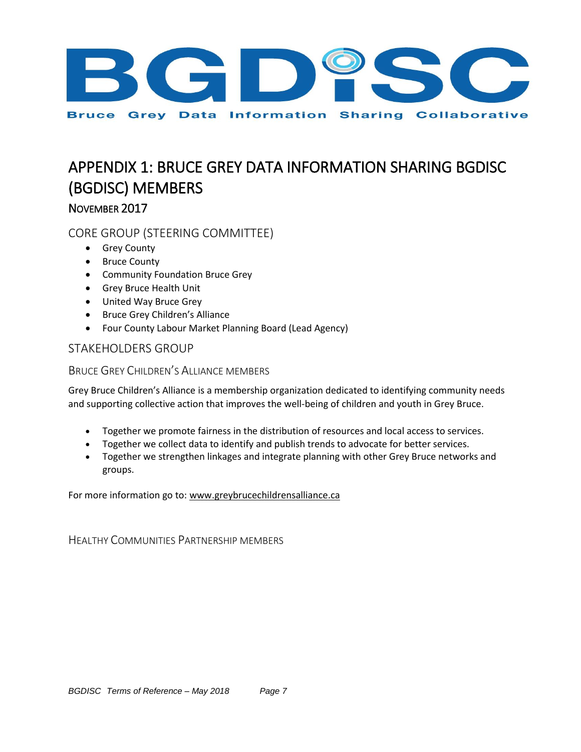

# APPENDIX 1: BRUCE GREY DATA INFORMATION SHARING BGDISC (BGDISC) MEMBERS

### NOVEMBER 2017

### CORE GROUP (STEERING COMMITTEE)

- **•** Grey County
- Bruce County
- Community Foundation Bruce Grey
- Grey Bruce Health Unit
- United Way Bruce Grey
- **•** Bruce Grey Children's Alliance
- Four County Labour Market Planning Board (Lead Agency)

### STAKEHOLDERS GROUP

### BRUCE GREY CHILDREN'S ALLIANCE MEMBERS

Grey Bruce Children's Alliance is a membership organization dedicated to identifying community needs and supporting collective action that improves the well-being of children and youth in Grey Bruce.

- Together we promote fairness in the distribution of resources and local access to services.
- Together we collect data to identify and publish trends to advocate for better services.
- Together we strengthen linkages and integrate planning with other Grey Bruce networks and groups.

For more information go to[: www.greybrucechildrensalliance.ca](http://www.greybrucechildrensalliance.ca/)

HEALTHY COMMUNITIES PARTNERSHIP MEMBERS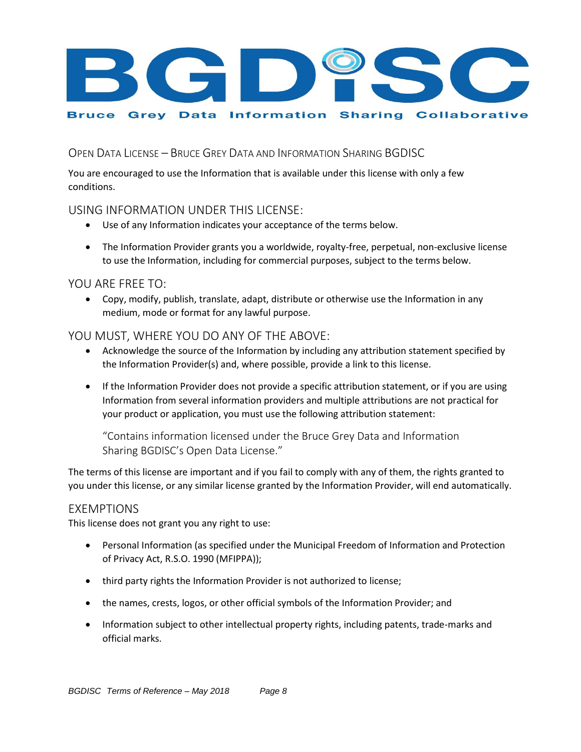

OPEN DATA LICENSE – BRUCE GREY DATA AND INFORMATION SHARING BGDISC

You are encouraged to use the Information that is available under this license with only a few conditions.

### USING INFORMATION UNDER THIS LICENSE:

- Use of any Information indicates your acceptance of the terms below.
- The Information Provider grants you a worldwide, royalty-free, perpetual, non-exclusive license to use the Information, including for commercial purposes, subject to the terms below.

### YOU ARE FREE TO:

 Copy, modify, publish, translate, adapt, distribute or otherwise use the Information in any medium, mode or format for any lawful purpose.

### YOU MUST, WHERE YOU DO ANY OF THE ABOVE:

- Acknowledge the source of the Information by including any attribution statement specified by the Information Provider(s) and, where possible, provide a link to this license.
- If the Information Provider does not provide a specific attribution statement, or if you are using Information from several information providers and multiple attributions are not practical for your product or application, you must use the following attribution statement:

"Contains information licensed under the Bruce Grey Data and Information Sharing BGDISC's Open Data License."

The terms of this license are important and if you fail to comply with any of them, the rights granted to you under this license, or any similar license granted by the Information Provider, will end automatically.

### EXEMPTIONS

This license does not grant you any right to use:

- Personal Information (as specified under the Municipal Freedom of Information and Protection of Privacy Act, R.S.O. 1990 (MFIPPA));
- third party rights the Information Provider is not authorized to license;
- the names, crests, logos, or other official symbols of the Information Provider; and
- Information subject to other intellectual property rights, including patents, trade-marks and official marks.